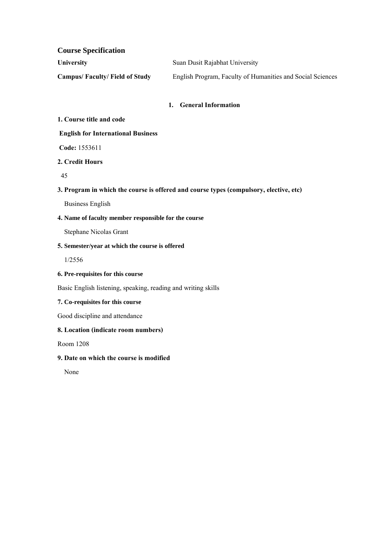**Course Specification**

| <b>University</b>             | Suan Dusit Rajabhat University                             |
|-------------------------------|------------------------------------------------------------|
| Campus/Faculty/Field of Study | English Program, Faculty of Humanities and Social Sciences |

# **1. General Information**

#### **1. Course title and code**

## **English for International Business**

**Code:**1553611

## **2. Credit Hours**

45

## **3. Program in which the course is offered and course types (compulsory, elective, etc)**

Business English

# **4. Name of faculty member responsible for the course**

Stephane Nicolas Grant

## **5. Semester/year at which the course is offered**

1/2556

# **6. Pre-requisites for this course**

Basic English listening, speaking, reading and writing skills

#### **7. Co-requisites for this course**

Good discipline and attendance

# **8. Location(indicate room numbers)**

Room 1208

# **9. Date on which the course is modified**

None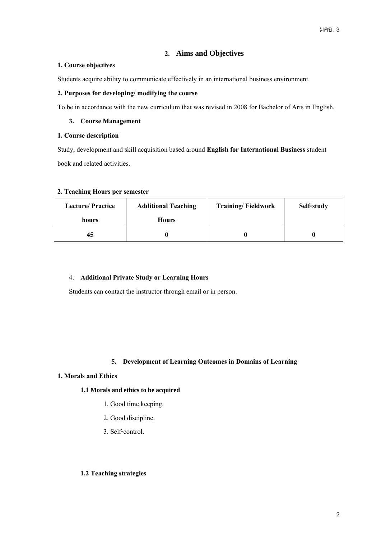# **2. Aims and Objectives**

## **1. Course objectives**

Students acquire ability to communicate effectively in an international business environment.

## **2. Purposes for developing/ modifying the course**

To be in accordance with the new curriculum that was revised in 2008 for Bachelor of Arts in English.

# **3. Course Management**

#### **1. Course description**

Study, development and skill acquisition based around **English for International Business** student book and related activities.

#### **2. Teaching Hours per semester**

| <b>Lecture/Practice</b> | <b>Additional Teaching</b> | <b>Training/Fieldwork</b> | Self-study |
|-------------------------|----------------------------|---------------------------|------------|
| hours                   | <b>Hours</b>               |                           |            |
| 45                      |                            |                           |            |

# 4. **Additional Private Study or Learning Hours**

Students can contact the instructor through email or in person.

# **5. Development of Learning Outcomes in Domains of Learning**

#### **1. Morals and Ethics**

#### **1.1 Morals and ethics to be acquired**

- 1. Good time keeping.
- 2. Good discipline.
- 3.Self-control.

## **1.2 Teaching strategies**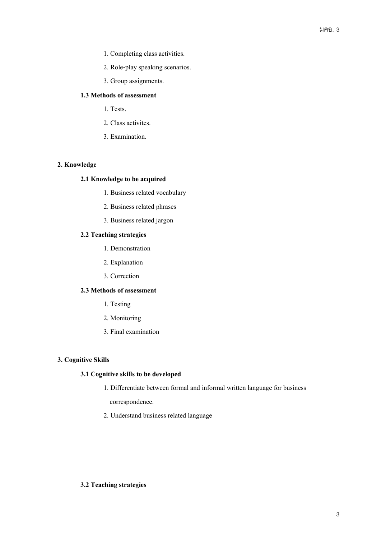- 1. Completing class activities.
- 2. Role-play speaking scenarios.
- 3. Group assignments.

# **1.3 Methods of assessment**

- 1. Tests.
- 2. Class activites.
- 3. Examination.

# **2. Knowledge**

#### **2.1 Knowledge to be acquired**

- 1. Business related vocabulary
- 2. Business related phrases
- 3. Business related jargon

# **2.2 Teaching strategies**

- 1. Demonstration
- 2. Explanation
- 3. Correction

# **2.3 Methods of assessment**

- 1. Testing
- 2. Monitoring
- 3.Final examination

#### **3. Cognitive Skills**

### **3.1 Cognitive skills to be developed**

#### 1. Differentiate between formal and informal written language for business

correspondence.

2. Understand business related language

#### **3.2 Teaching strategies**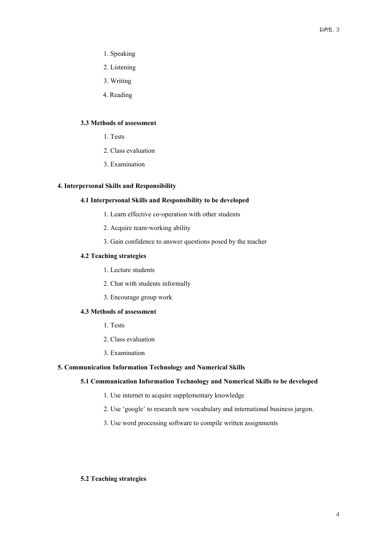- 1.Speaking
- 2. Listening
- 3. Writing
- 4. Reading

# **3.3 Methods of assessment**

- 1. Tests
- 2. Class evaluation
- 3. Examination

### **4. Interpersonal Skills and Responsibility**

## **4.1 Interpersonal Skills and Responsibility to be developed**

- 1. Learn effective co-operation with other students
- 2. Acquire team-working ability
- 3. Gain confidence to answer questions posed by the teacher

# **4.2 Teaching strategies**

- 1. Lecture students
- 2. Chat with students informally
- 3. Encourage group work

# **4.3 Methods of assessment**

- 1. Tests
- 2. Class evaluation
- 3. Examination

## **5. Communication Information Technology and Numerical Skills**

## **5.1 Communication Information Technology and Numerical Skills to be developed**

- 1. Use internet to acquire supplementary knowledge
- 2. Use 'google' to research new vocabulary and international business jargon.
- 3. Use word processing software to compile written assignments

#### **5.2 Teaching strategies**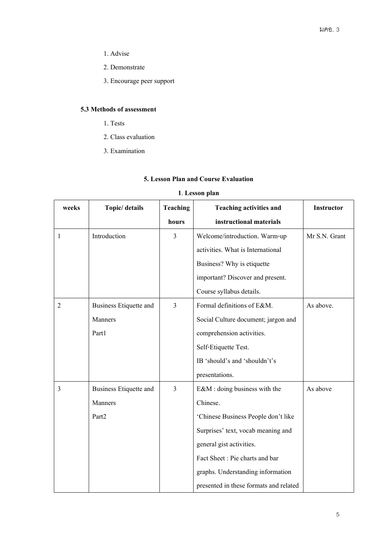- 1. Advise
- 2. Demonstrate
- 3. Encourage peer support

# **5.3 Methods of assessment**

- 1. Tests
- 2. Class evaluation
- 3. Examination

# **5. Lesson Plan and Course Evaluation**

# **1**. **Lesson plan**

| weeks          | Topic/ details                | <b>Teaching</b> | <b>Teaching activities and</b>         | <b>Instructor</b> |
|----------------|-------------------------------|-----------------|----------------------------------------|-------------------|
|                |                               | hours           | instructional materials                |                   |
| 1              | Introduction                  | $\overline{3}$  | Welcome/introduction. Warm-up          | Mr S.N. Grant     |
|                |                               |                 | activities. What is International      |                   |
|                |                               |                 | Business? Why is etiquette             |                   |
|                |                               |                 | important? Discover and present.       |                   |
|                |                               |                 | Course syllabus details.               |                   |
| 2              | <b>Business Etiquette and</b> | $\overline{3}$  | Formal definitions of E&M.             | As above.         |
|                | Manners                       |                 | Social Culture document; jargon and    |                   |
|                | Part1                         |                 | comprehension activities.              |                   |
|                |                               |                 | Self-Etiquette Test.                   |                   |
|                |                               |                 | IB 'should's and 'shouldn't's          |                   |
|                |                               |                 | presentations.                         |                   |
| $\overline{3}$ | <b>Business Etiquette and</b> | $\overline{3}$  | E&M : doing business with the          | As above          |
|                | Manners                       |                 | Chinese.                               |                   |
|                | Part <sub>2</sub>             |                 | 'Chinese Business People don't like    |                   |
|                |                               |                 | Surprises' text, vocab meaning and     |                   |
|                |                               |                 | general gist activities.               |                   |
|                |                               |                 | Fact Sheet: Pie charts and bar         |                   |
|                |                               |                 | graphs. Understanding information      |                   |
|                |                               |                 | presented in these formats and related |                   |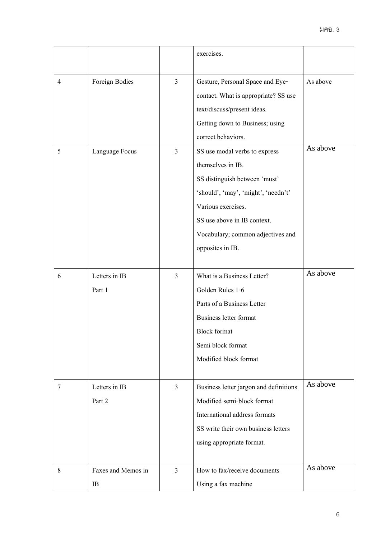|                |                                  |                                  | exercises.                                                                                                                                                                                              |                      |
|----------------|----------------------------------|----------------------------------|---------------------------------------------------------------------------------------------------------------------------------------------------------------------------------------------------------|----------------------|
| 4<br>5         | Foreign Bodies<br>Language Focus | $\overline{3}$<br>$\mathfrak{Z}$ | Gesture, Personal Space and Eye-<br>contact. What is appropriate? SS use<br>text/discuss/present ideas.<br>Getting down to Business; using<br>correct behaviors.<br>SS use modal verbs to express       | As above<br>As above |
|                |                                  |                                  | themselves in IB.<br>SS distinguish between 'must'<br>'should', 'may', 'might', 'needn't'<br>Various exercises.<br>SS use above in IB context.<br>Vocabulary; common adjectives and<br>opposites in IB. |                      |
| 6              | Letters in IB<br>Part 1          | $\mathfrak{Z}$                   | What is a Business Letter?<br>Golden Rules 1-6<br>Parts of a Business Letter<br>Business letter format<br><b>Block</b> format<br>Semi block format<br>Modified block format                             | As above             |
| $\overline{7}$ | Letters in IB<br>Part 2          | $\mathfrak{Z}$                   | Business letter jargon and definitions<br>Modified semi-block format<br>International address formats<br>SS write their own business letters<br>using appropriate format.                               | As above             |
| 8              | Faxes and Memos in<br>IB         | $\mathfrak{Z}$                   | How to fax/receive documents<br>Using a fax machine                                                                                                                                                     | As above             |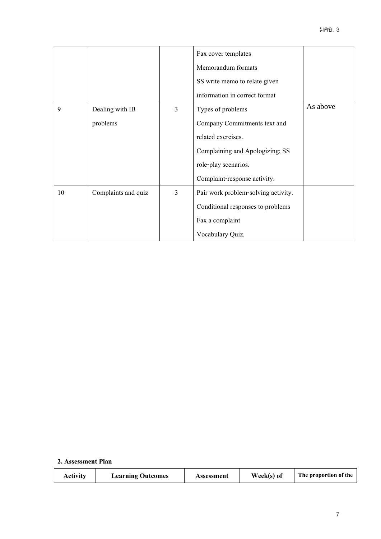|    |                     |                | Fax cover templates                 |          |
|----|---------------------|----------------|-------------------------------------|----------|
|    |                     |                | Memorandum formats                  |          |
|    |                     |                | SS write memo to relate given       |          |
|    |                     |                | information in correct format       |          |
| 9  | Dealing with IB     | 3              | Types of problems                   | As above |
|    | problems            |                | Company Commitments text and        |          |
|    |                     |                | related exercises.                  |          |
|    |                     |                | Complaining and Apologizing; SS     |          |
|    |                     |                | role-play scenarios.                |          |
|    |                     |                | Complaint-response activity.        |          |
| 10 | Complaints and quiz | $\overline{3}$ | Pair work problem-solving activity. |          |
|    |                     |                | Conditional responses to problems   |          |
|    |                     |                | Fax a complaint                     |          |
|    |                     |                | Vocabulary Quiz.                    |          |

# **2. Assessment Plan**

| <b>Activity</b> | <b>Learning Outcomes</b> | Assessment | Week(s) of | The proportion of the |
|-----------------|--------------------------|------------|------------|-----------------------|
|-----------------|--------------------------|------------|------------|-----------------------|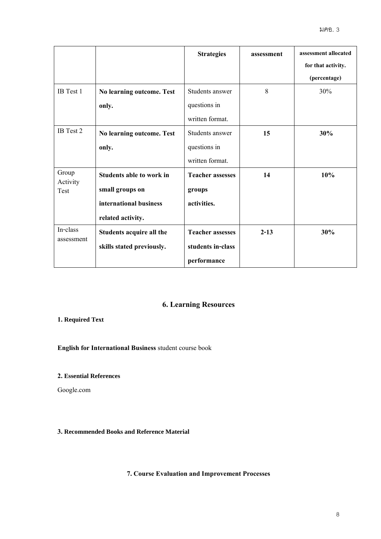|                   |                           | <b>Strategies</b>       | assessment | assessment allocated |
|-------------------|---------------------------|-------------------------|------------|----------------------|
|                   |                           |                         |            | for that activity.   |
|                   |                           |                         |            | (percentage)         |
| IB Test 1         | No learning outcome. Test | Students answer         | 8          | 30%                  |
|                   | only.                     | questions in            |            |                      |
|                   |                           | written format.         |            |                      |
| IB Test 2         | No learning outcome. Test | Students answer         | 15         | 30%                  |
|                   | only.                     | questions in            |            |                      |
|                   |                           | written format.         |            |                      |
| Group<br>Activity | Students able to work in  | <b>Teacher assesses</b> | 14         | 10%                  |
| Test              | small groups on           | groups                  |            |                      |
|                   | international business    | activities.             |            |                      |
|                   | related activity.         |                         |            |                      |
| In-class          | Students acquire all the  | <b>Teacher assesses</b> | $2 - 13$   | 30%                  |
| assessment        | skills stated previously. | students in-class       |            |                      |
|                   |                           | performance             |            |                      |

# **6. Learning Resources**

# **1. Required Text**

**English for International Business** student course book

# **2. Essential References**

Google.com

# **3. Recommended Books and Reference Material**

**7. Course Evaluation and Improvement Processes**